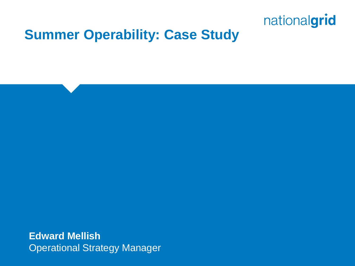

#### **Summer Operability: Case Study**

**Edward Mellish**  Operational Strategy Manager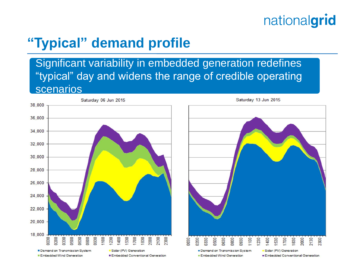# **"Typical" demand profile**

Significant variability in embedded generation redefines "typical" day and widens the range of credible operating scenarios

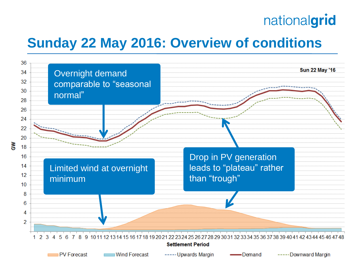#### **Sunday 22 May 2016: Overview of conditions**

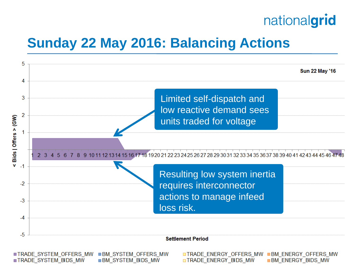#### **Sunday 22 May 2016: Balancing Actions**



**■TRADE\_SYSTEM\_OFFERS\_MW BM SYSTEM OFFERS MW** TRADE SYSTEM BIDS MW **BM SYSTEM BIDS MW** 

**□TRADE\_ENERGY\_OFFERS\_MW ■BM\_ENERGY\_OFFERS\_MW OTRADE ENERGY BIDS MW** 

**BM ENERGY BIDS MW**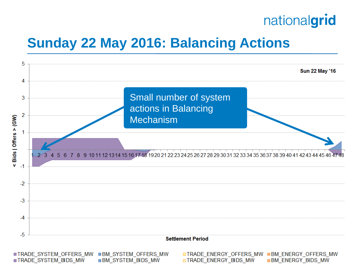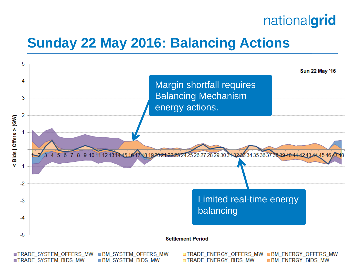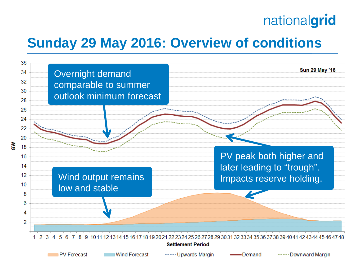#### **Sunday 29 May 2016: Overview of conditions**

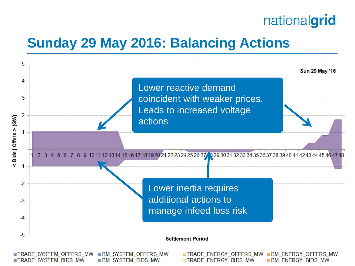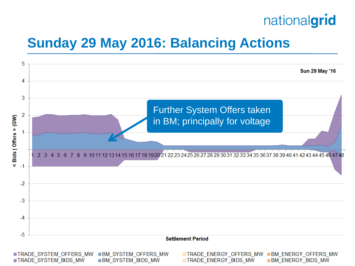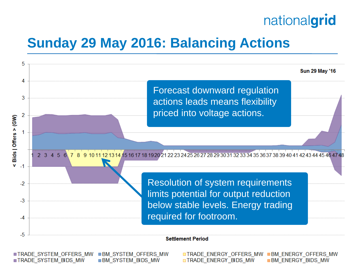#### **Sunday 29 May 2016: Balancing Actions**



**■TRADE\_SYSTEM\_OFFERS\_MW BM SYSTEM OFFERS MW** TRADE\_SYSTEM\_BIDS\_MW BM\_SYSTEM\_BIDS\_MW

**□TRADE ENERGY OFFERS MW ■BM ENERGY OFFERS MW OTRADE ENERGY BIDS MW BM ENERGY BIDS MW**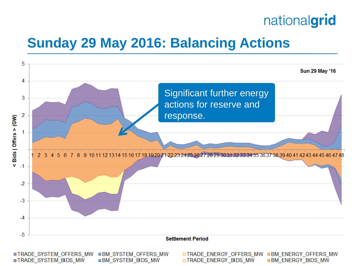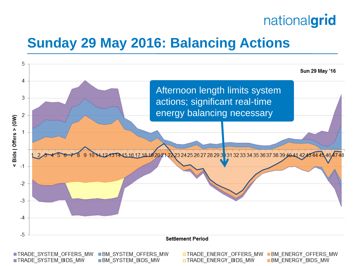